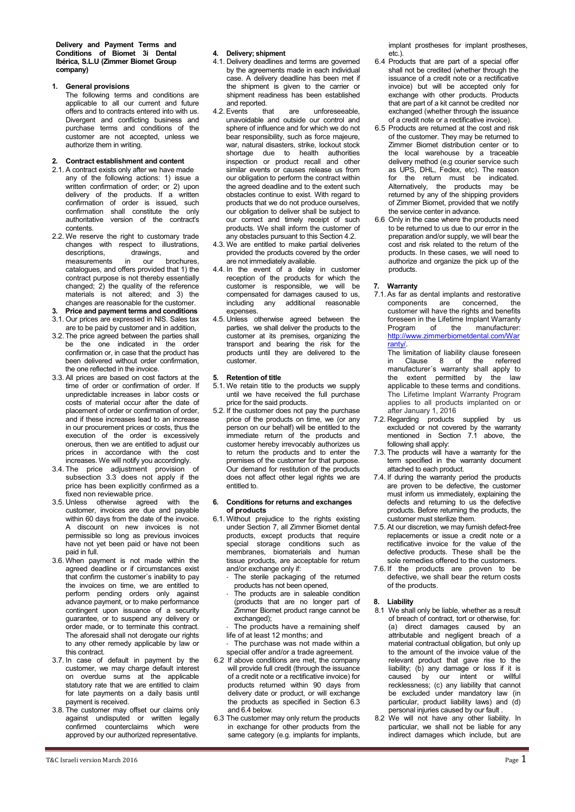## **1. General provisions**

The following terms and conditions are applicable to all our current and future offers and to contracts entered into with us. Divergent and conflicting business and purchase terms and conditions of the customer are not accepted, unless we authorize them in writing.

## **2. Contract establishment and content**

- 2.1. A contract exists only after we have made any of the following actions: 1) issue a written confirmation of order; or 2) upon delivery of the products. If a written confirmation of order is issued, such confirmation shall constitute the only authoritative version of the contract's contents.
- 2.2. We reserve the right to customary trade changes with respect to illustrations,<br>descriptions. drawings. and descriptions, drawings, and<br>measurements in our brochures,  $in$  our catalogues, and offers provided that 1) the contract purpose is not thereby essentially changed; 2) the quality of the reference materials is not altered; and 3) the changes are reasonable for the customer.
- **3. Price and payment terms and conditions**
- 3.1. Our prices are expressed in NIS. Sales tax are to be paid by customer and in addition,
- 3.2. The price agreed between the parties shall be the one indicated in the order confirmation or, in case that the product has been delivered without order confirmation, the one reflected in the invoice.
- 3.3. All prices are based on cost factors at the time of order or confirmation of order. If unpredictable increases in labor costs or costs of material occur after the date of placement of order or confirmation of order, and if these increases lead to an increase in our procurement prices or costs, thus the execution of the order is excessively onerous, then we are entitled to adjust our prices in accordance with the cost increases. We will notify you accordingly.
- 3.4. The price adjustment provision of subsection 3.3 does not apply if the price has been explicitly confirmed as a fixed non reviewable price.
- 3.5. Unless otherwise agreed with the customer, invoices are due and payable within 60 days from the date of the invoice. A discount on new invoices is not permissible so long as previous invoices have not yet been paid or have not been paid in full.
- 3.6. When payment is not made within the agreed deadline or if circumstances exist that confirm the customer´s inability to pay the invoices on time, we are entitled to perform pending orders only against advance payment, or to make performance contingent upon issuance of a security guarantee, or to suspend any delivery or order made, or to terminate this contract. The aforesaid shall not derogate our rights to any other remedy applicable by law or this contract.
- 3.7. In case of default in payment by the customer, we may charge default interest on overdue sums at the applicable statutory rate that we are entitled to claim for late payments on a daily basis until payment is received.
- 3.8. The customer may offset our claims only against undisputed or written legally confirmed counterclaims which were approved by our authorized representative.

# T&C Israeli version March 2016  $\qquad$  Page  $1$

## **4. Delivery; shipment**

- 4.1. Delivery deadlines and terms are governed by the agreements made in each individual case. A delivery deadline has been met if the shipment is given to the carrier or shipment readiness has been established and reported.<br>4.2. Events that
- are unforeseeable, unavoidable and outside our control and sphere of influence and for which we do not bear responsibility, such as force majeure, war, natural disasters, strike, lockout stock shortage due to health authorities inspection or product recall and other similar events or causes release us from our obligation to perform the contract within the agreed deadline and to the extent such obstacles continue to exist. With regard to products that we do not produce ourselves, our obligation to deliver shall be subject to our correct and timely receipt of such products. We shall inform the customer of any obstacles pursuant to this Section 4.2.
- 4.3. We are entitled to make partial deliveries provided the products covered by the order are not immediately available.
- 4.4. In the event of a delay in customer reception of the products for which the customer is responsible, we will be compensated for damages caused to us, including any additional reasonable expenses.
- 4.5. Unless otherwise agreed between the parties, we shall deliver the products to the customer at its premises, organizing the transport and bearing the risk for the products until they are delivered to the customer.

#### **5. Retention of title**

- 5.1. We retain title to the products we supply until we have received the full purchase price for the said products.
- 5.2. If the customer does not pay the purchase price of the products on time, we (or any person on our behalf) will be entitled to the immediate return of the products and customer hereby irrevocably authorizes us to return the products and to enter the premises of the customer for that purpose. Our demand for restitution of the products does not affect other legal rights we are entitled to.

### **6. Conditions for returns and exchanges of products**

- 6.1. Without prejudice to the rights existing under Section 7, all Zimmer Biomet dental products, except products that require special storage conditions such as membranes, biomaterials and human tissue products, are acceptable for return and/or exchange only if:
	- The sterile packaging of the returned products has not been opened,
	- The products are in saleable condition (products that are no longer part of Zimmer Biomet product range cannot be exchanged);
	- The products have a remaining shelf life of at least 12 months; and
	- The purchase was not made within a special offer and/or a trade agreement.
- 6.2 If above conditions are met, the company will provide full credit (through the issuance of a credit note or a rectificative invoice) for products returned within 90 days from delivery date or product, or will exchange the products as specified in Section 6.3 and 6.4 below.
- 6.3 The customer may only return the products in exchange for other products from the same category (e.g. implants for implants,

implant prostheses for implant prostheses, etc.).

- 6.4 Products that are part of a special offer shall not be credited (whether through the issuance of a credit note or a rectificative invoice) but will be accepted only for exchange with other products. Products that are part of a kit cannot be credited nor exchanged (whether through the issuance of a credit note or a rectificative invoice).
- 6.5 Products are returned at the cost and risk of the customer. They may be returned to Zimmer Biomet distribution center or to the local warehouse by a traceable delivery method (e.g courier service such as UPS, DHL, Fedex, etc). The reason for the return must be indicated. Alternatively, the products may be returned by any of the shipping providers of Zimmer Biomet, provided that we notify the service center in advance.
- 6.6 Only in the case where the products need to be returned to us due to our error in the preparation and/or supply, we will bear the cost and risk related to the return of the products. In these cases, we will need to authorize and organize the pick up of the products.

## **7. Warranty**

- 7.1.As far as dental implants and restorative components are concerned, the customer will have the rights and benefits foreseen in the Lifetime Implant Warranty Program of the manufacturer: [http://www.zimmerbiometdental.com/War](https://urldefense.proofpoint.com/v2/url?u=http-3A__www.zimmerbiometdental.com_Warranty_&d=CwMGaQ&c=ptMoEJ5oTofwe4L9tBtGCQ&r=c6mFnDAX2hT7s1fRd1c2hjFWXLbXhPAJ7puYoHQ4dtk&m=O2kkY9y3yLuZJmsOZAmqc-36utiQSXI0X1rXTipjW_I&s=_nzKnlQCdexsfrfsVwM4YSkE6oyor2e45ayBCD42o24&e=) [ranty/.](https://urldefense.proofpoint.com/v2/url?u=http-3A__www.zimmerbiometdental.com_Warranty_&d=CwMGaQ&c=ptMoEJ5oTofwe4L9tBtGCQ&r=c6mFnDAX2hT7s1fRd1c2hjFWXLbXhPAJ7puYoHQ4dtk&m=O2kkY9y3yLuZJmsOZAmqc-36utiQSXI0X1rXTipjW_I&s=_nzKnlQCdexsfrfsVwM4YSkE6oyor2e45ayBCD42o24&e=) 
	- The limitation of liability clause foreseen<br>in Clause  $\overline{a}$  of the referred in Clause 8 of the referred manufacturer´s warranty shall apply to the extent permitted by the law applicable to these terms and conditions. The Lifetime Implant Warranty Program applies to all products implanted on or after January 1, 2016
- 7.2. Regarding products supplied by us excluded or not covered by the warranty mentioned in Section 7.1 above, the following shall apply:
- 7.3. The products will have a warranty for the term specified in the warranty document attached to each product.
- 7.4. If during the warranty period the products are proven to be defective, the customer must inform us immediately, explaining the defects and returning to us the defective products. Before returning the products, the customer must sterilize them.
- 7.5. At our discretion, we may furnish defect-free replacements or issue a credit note or a rectificative invoice for the value of the defective products. These shall be the sole remedies offered to the customers.
- 7.6. If the products are proven to be defective, we shall bear the return costs of the products.

## **8. Liability**

- 8.1 We shall only be liable, whether as a result of breach of contract, tort or otherwise, for: (a) direct damages caused by an attributable and negligent breach of a material contractual obligation, but only up to the amount of the invoice value of the relevant product that gave rise to the liability; (b) any damage or loss if it is<br>caused by our intent or willful by our intent or recklessness; (c) any liability that cannot be excluded under mandatory law (in particular, product liability laws) and (d) personal injuries caused by our fault .
- 8.2 We will not have any other liability. In particular, we shall not be liable for any indirect damages which include, but are